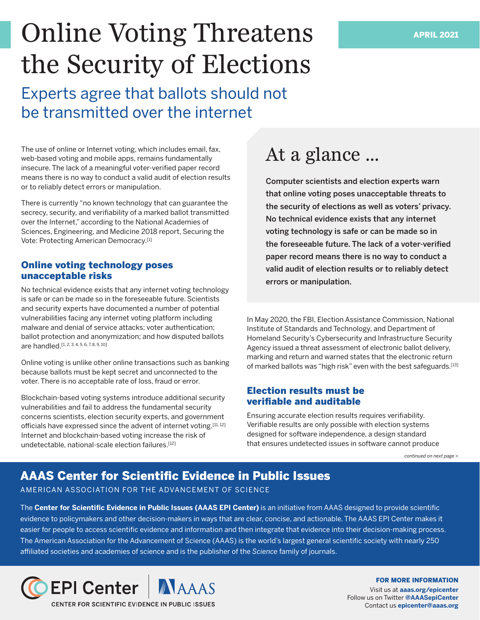# Online Voting Threatens the Security of Elections

Experts agree that ballots should not be transmitted over the internet

The use of online or Internet voting, which includes email, fax, web-based voting and mobile apps, remains fundamentally insecure. The lack of a meaningful voter-verified paper record means there is no way to conduct a valid audit of election results or to reliably detect errors or manipulation.

There is currently "no known technology that can guarantee the secrecy, security, and verifiability of a marked ballot transmitted over the Internet," according to the National Academies of Sciences, Engineering, and Medicine 2018 report, Securing the Vote: Protecting American Democracy.[1]

## Online voting technology poses unacceptable risks

No technical evidence exists that any internet voting technology is safe or can be made so in the foreseeable future. Scientists and security experts have documented a number of potential vulnerabilities facing any internet voting platform including malware and denial of service attacks; voter authentication; ballot protection and anonymization; and how disputed ballots are handled.[1, 2, 3, 4, 5, 6, 7, 8, 9, 10]

Online voting is unlike other online transactions such as banking because ballots must be kept secret and unconnected to the voter. There is no acceptable rate of loss, fraud or error.

Blockchain-based voting systems introduce additional security vulnerabilities and fail to address the fundamental security concerns scientists, election security experts, and government officials have expressed since the advent of internet voting.[11, 12] Internet and blockchain-based voting increase the risk of undetectable, national-scale election failures.[12]

## At a glance ...

Computer scientists and election experts warn that online voting poses unacceptable threats to the security of elections as well as voters' privacy. No technical evidence exists that any internet voting technology is safe or can be made so in the foreseeable future. The lack of a voter-verified paper record means there is no way to conduct a valid audit of election results or to reliably detect errors or manipulation.

In May 2020, the FBI, Election Assistance Commission, National Institute of Standards and Technology, and Department of Homeland Security's Cybersecurity and Infrastructure Security Agency issued a threat assessment of electronic ballot delivery, marking and return and warned states that the electronic return of marked ballots was "high risk" even with the best safeguards.<sup>[13]</sup>

## Election results must be verifiable and auditable

Ensuring accurate election results requires verifiability. Verifiable results are only possible with election systems designed for software independence, a design standard that ensures undetected issues in software cannot produce

*continued on next page >*

## AAAS Center for Scientific Evidence in Public Issues

AMERICAN ASSOCIATION FOR THE ADVANCEMENT OF SCIENCE

The **Center for Scientific Evidence in Public Issues (AAAS EPI Center)** is an initiative from AAAS designed to provide scientific evidence to policymakers and other decision-makers in ways that are clear, concise, and actionable. The AAAS EPI Center makes it easier for people to access scientific evidence and information and then integrate that evidence into their decision-making process. The American Association for the Advancement of Science (AAAS) is the world's largest general scientific society with nearly 250 affiliated societies and academies of science and is the publisher of the *Science* family of journals.



FOR MORE INFORMATION

Visit us at **[aaas.org/epicenter](https://www.aaas.org/programs/epi-center)**  Follow us on Twitter **[@AAASepiCenter](https://twitter.com/aaasepicenter?lang=en)**  Contact us **[epicenter@aaas.org](mailto:epicenter%40aaas.org?subject=)**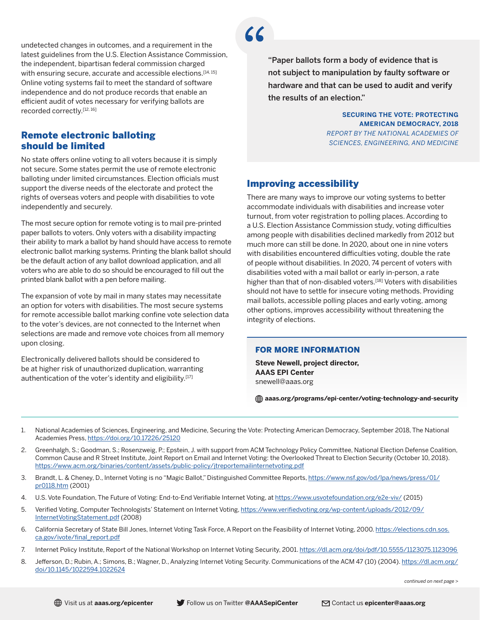undetected changes in outcomes, and a requirement in the latest guidelines from the U.S. Election Assistance Commission, the independent, bipartisan federal commission charged with ensuring secure, accurate and accessible elections.<sup>[14, 15]</sup> Online voting systems fail to meet the standard of software independence and do not produce records that enable an efficient audit of votes necessary for verifying ballots are recorded correctly.<sup>[12, 16]</sup>

## Remote electronic balloting should be limited

No state offers online voting to all voters because it is simply not secure. Some states permit the use of remote electronic balloting under limited circumstances. Election officials must support the diverse needs of the electorate and protect the rights of overseas voters and people with disabilities to vote independently and securely.

The most secure option for remote voting is to mail pre-printed paper ballots to voters. Only voters with a disability impacting their ability to mark a ballot by hand should have access to remote electronic ballot marking systems. Printing the blank ballot should be the default action of any ballot download application, and all voters who are able to do so should be encouraged to fill out the printed blank ballot with a pen before mailing.

The expansion of vote by mail in many states may necessitate an option for voters with disabilities. The most secure systems for remote accessible ballot marking confine vote selection data to the voter's devices, are not connected to the Internet when selections are made and remove vote choices from all memory upon closing.

Electronically delivered ballots should be considered to be at higher risk of unauthorized duplication, warranting authentication of the voter's identity and eligibility.[17]

"Paper ballots form a body of evidence that is not subject to manipulation by faulty software or hardware and that can be used to audit and verify the results of an election."

> **SECURING THE VOTE: PROTECTING AMERICAN DEMOCRACY, 2018**  *REPORT BY THE NATIONAL ACADEMIES OF SCIENCES, ENGINEERING, AND MEDICINE*

## Improving accessibility

There are many ways to improve our voting systems to better accommodate individuals with disabilities and increase voter turnout, from voter registration to polling places. According to a U.S. Election Assistance Commission study, voting difficulties among people with disabilities declined markedly from 2012 but much more can still be done. In 2020, about one in nine voters with disabilities encountered difficulties voting, double the rate of people without disabilities. In 2020, 74 percent of voters with disabilities voted with a mail ballot or early in-person, a rate higher than that of non-disabled voters.<sup>[18]</sup> Voters with disabilities should not have to settle for insecure voting methods. Providing mail ballots, accessible polling places and early voting, among other options, improves accessibility without threatening the integrity of elections.

#### FOR MORE INFORMATION

**Steve Newell, project director, AAAS EPI Center** [snewell@aaas.org](mailto:snewell%40aaas.org%20?subject=) 

**[aaas.org/programs/epi-center/voting-technology-and-security](https://www.aaas.org/programs/epi-center/voting-technology-and-security)**

- 1. National Academies of Sciences, Engineering, and Medicine, Securing the Vote: Protecting American Democracy, September 2018, The National Academies Press, <https://doi.org/10.17226/25120>
- 2. Greenhalgh, S.; Goodman, S.; Rosenzweig, P.; Epstein, J. with support from ACM Technology Policy Committee, National Election Defense Coalition, Common Cause and R Street Institute, Joint Report on Email and Internet Voting: the Overlooked Threat to Election Security (October 10, 2018). <https://www.acm.org/binaries/content/assets/public-policy/jtreportemailinternetvoting.pdf>
- 3. Brandt, L. & Cheney, D., Internet Voting is no "Magic Ballot," Distinguished Committee Reports, [https://www.nsf.gov/od/lpa/news/press/01/](https://www.nsf.gov/od/lpa/news/press/01/pr0118.htm) [pr0118.htm](https://www.nsf.gov/od/lpa/news/press/01/pr0118.htm) (2001)
- 4. U.S. Vote Foundation, The Future of Voting: End-to-End Verifiable Internet Voting, at<https://www.usvotefoundation.org/e2e-viv/>(2015)
- 5. Verified Voting, Computer Technologists' Statement on Internet Voting, [https://www.verifiedvoting.org/wp-content/uploads/2012/09/](https://verifiedvoting.org/computer-technologists-statement-on-internet-voting/) [InternetVotingStatement.pdf](https://verifiedvoting.org/computer-technologists-statement-on-internet-voting/) (2008)
- 6. California Secretary of State Bill Jones, Internet Voting Task Force, A Report on the Feasibility of Internet Voting, 2000. [https://elections.cdn.sos.](https://elections.cdn.sos.ca.gov/ivote/final_report.pdf) [ca.gov/ivote/final\\_report.pdf](https://elections.cdn.sos.ca.gov/ivote/final_report.pdf)
- 7. Internet Policy Institute, Report of the National Workshop on Internet Voting Security, 2001.<https://dl.acm.org/doi/pdf/10.5555/1123075.1123096>
- 8. Jefferson, D.; Rubin, A.; Simons, B.; Wagner, D., Analyzing Internet Voting Security. Communications of the ACM 47 (10) (2004). [https://dl.acm.org/](https://dl.acm.org/doi/10.1145/1022594.1022624) [doi/10.1145/1022594.1022624](https://dl.acm.org/doi/10.1145/1022594.1022624)

*continued on next page >*